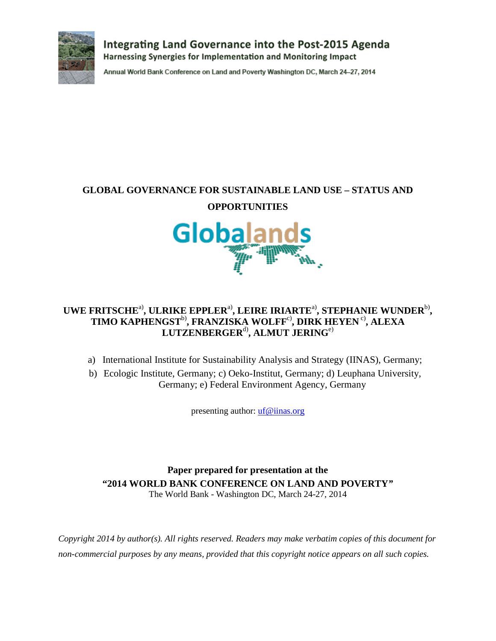

Integrating Land Governance into the Post-2015 Agenda

Harnessing Synergies for Implementation and Monitoring Impact

Annual World Bank Conference on Land and Poverty Washington DC, March 24-27, 2014

### **GLOBAL GOVERNANCE FOR SUSTAINABLE LAND USE – STATUS AND**

### **OPPORTUNITIES**



## **UWE FRITSCHE**a)**, ULRIKE EPPLER**a)**, LEIRE IRIARTE**a)**, STEPHANIE WUNDER**b)**, TIMO KAPHENGST**b)**, FRANZISKA WOLFF**c) **, DIRK HEYEN** c) **, ALEXA**   $\mathbf{LUTZENBERGER}^\mathrm{d}, \mathbf{ALMUT}\ \mathbf{JERING}^\mathrm{e)}$

a) International Institute for Sustainability Analysis and Strategy (IINAS), Germany;

b) Ecologic Institute, Germany; c) Oeko-Institut, Germany; d) Leuphana University, Germany; e) Federal Environment Agency, Germany

presenting author: [uf@iinas.org](mailto:uf@iinas.org)

**Paper prepared for presentation at the "2014 WORLD BANK CONFERENCE ON LAND AND POVERTY***"* The World Bank - Washington DC, March 24-27, 2014

*Copyright 2014 by author(s). All rights reserved. Readers may make verbatim copies of this document for non-commercial purposes by any means, provided that this copyright notice appears on all such copies.*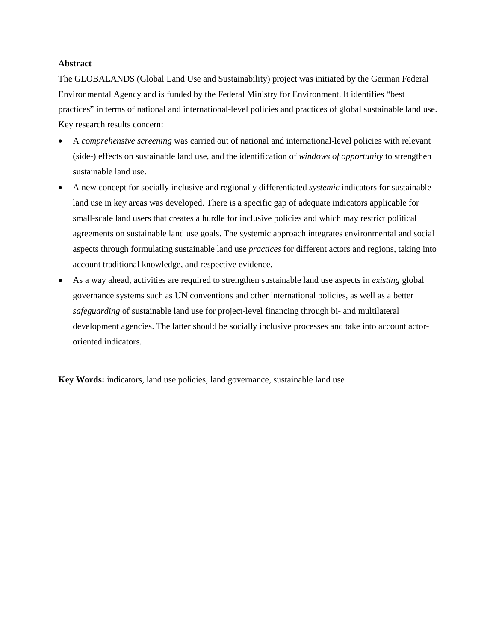#### **Abstract**

The GLOBALANDS (Global Land Use and Sustainability) project was initiated by the German Federal Environmental Agency and is funded by the Federal Ministry for Environment. It identifies "best practices" in terms of national and international-level policies and practices of global sustainable land use. Key research results concern:

- A *comprehensive screening* was carried out of national and international-level policies with relevant (side-) effects on sustainable land use, and the identification of *windows of opportunity* to strengthen sustainable land use.
- A new concept for socially inclusive and regionally differentiated *systemic* indicators for sustainable land use in key areas was developed. There is a specific gap of adequate indicators applicable for small-scale land users that creates a hurdle for inclusive policies and which may restrict political agreements on sustainable land use goals. The systemic approach integrates environmental and social aspects through formulating sustainable land use *practices* for different actors and regions, taking into account traditional knowledge, and respective evidence.
- As a way ahead, activities are required to strengthen sustainable land use aspects in *existing* global governance systems such as UN conventions and other international policies, as well as a better *safeguarding* of sustainable land use for project-level financing through bi- and multilateral development agencies. The latter should be socially inclusive processes and take into account actororiented indicators.

**Key Words:** indicators, land use policies, land governance, sustainable land use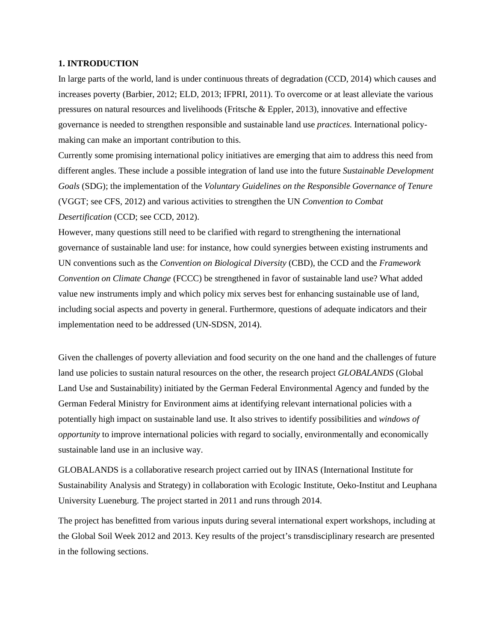#### **1. INTRODUCTION**

In large parts of the world, land is under continuous threats of degradation (CCD, 2014) which causes and increases poverty (Barbier, 2012; ELD, 2013; IFPRI, 2011). To overcome or at least alleviate the various pressures on natural resources and livelihoods (Fritsche & Eppler, 2013), innovative and effective governance is needed to strengthen responsible and sustainable land use *practices*. International policymaking can make an important contribution to this.

Currently some promising international policy initiatives are emerging that aim to address this need from different angles. These include a possible integration of land use into the future *Sustainable Development Goals* (SDG); the implementation of the *Voluntary Guidelines on the Responsible Governance of Tenure* (VGGT; see CFS, 2012) and various activities to strengthen the UN *Convention to Combat Desertification* (CCD; see CCD, 2012).

However, many questions still need to be clarified with regard to strengthening the international governance of sustainable land use: for instance, how could synergies between existing instruments and UN conventions such as the *Convention on Biological Diversity* (CBD), the CCD and the *Framework Convention on Climate Change* (FCCC) be strengthened in favor of sustainable land use? What added value new instruments imply and which policy mix serves best for enhancing sustainable use of land, including social aspects and poverty in general. Furthermore, questions of adequate indicators and their implementation need to be addressed (UN-SDSN, 2014).

Given the challenges of poverty alleviation and food security on the one hand and the challenges of future land use policies to sustain natural resources on the other, the research project *GLOBALANDS* (Global Land Use and Sustainability) initiated by the German Federal Environmental Agency and funded by the German Federal Ministry for Environment aims at identifying relevant international policies with a potentially high impact on sustainable land use. It also strives to identify possibilities and *windows of opportunity* to improve international policies with regard to socially, environmentally and economically sustainable land use in an inclusive way.

GLOBALANDS is a collaborative research project carried out by IINAS (International Institute for Sustainability Analysis and Strategy) in collaboration with Ecologic Institute, Oeko-Institut and Leuphana University Lueneburg. The project started in 2011 and runs through 2014.

The project has benefitted from various inputs during several international expert workshops, including at the Global Soil Week 2012 and 2013. Key results of the project's transdisciplinary research are presented in the following sections.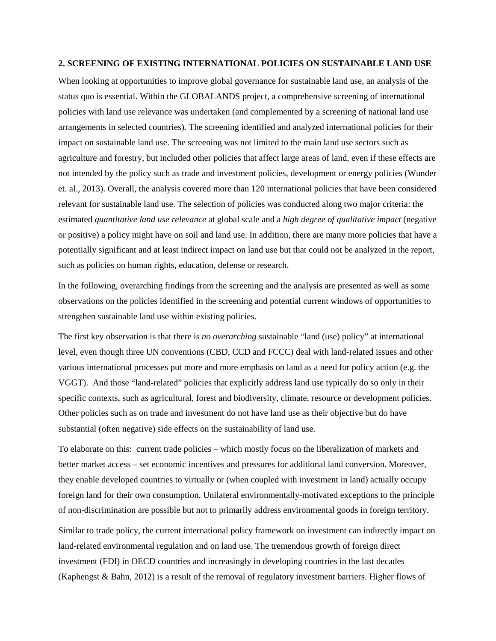#### **2. SCREENING OF EXISTING INTERNATIONAL POLICIES ON SUSTAINABLE LAND USE**

When looking at opportunities to improve global governance for sustainable land use, an analysis of the status quo is essential. Within the GLOBALANDS project, a comprehensive screening of international policies with land use relevance was undertaken (and complemented by a screening of national land use arrangements in selected countries). The screening identified and analyzed international policies for their impact on sustainable land use. The screening was not limited to the main land use sectors such as agriculture and forestry, but included other policies that affect large areas of land, even if these effects are not intended by the policy such as trade and investment policies, development or energy policies (Wunder et. al., 2013). Overall, the analysis covered more than 120 international policies that have been considered relevant for sustainable land use. The selection of policies was conducted along two major criteria: the estimated *quantitative land use relevance* at global scale and a *high degree of qualitative impact* (negative or positive) a policy might have on soil and land use. In addition, there are many more policies that have a potentially significant and at least indirect impact on land use but that could not be analyzed in the report, such as policies on human rights, education, defense or research.

In the following, overarching findings from the screening and the analysis are presented as well as some observations on the policies identified in the screening and potential current windows of opportunities to strengthen sustainable land use within existing policies.

The first key observation is that there is *no overarching* sustainable "land (use) policy" at international level, even though three UN conventions (CBD, CCD and FCCC) deal with land-related issues and other various international processes put more and more emphasis on land as a need for policy action (e.g. the VGGT). And those "land-related" policies that explicitly address land use typically do so only in their specific contexts, such as agricultural, forest and biodiversity, climate, resource or development policies. Other policies such as on trade and investment do not have land use as their objective but do have substantial (often negative) side effects on the sustainability of land use.

To elaborate on this: current trade policies – which mostly focus on the liberalization of markets and better market access – set economic incentives and pressures for additional land conversion. Moreover, they enable developed countries to virtually or (when coupled with investment in land) actually occupy foreign land for their own consumption. Unilateral environmentally-motivated exceptions to the principle of non-discrimination are possible but not to primarily address environmental goods in foreign territory.

Similar to trade policy, the current international policy framework on investment can indirectly impact on land-related environmental regulation and on land use. The tremendous growth of foreign direct investment (FDI) in OECD countries and increasingly in developing countries in the last decades (Kaphengst & Bahn, 2012) is a result of the removal of regulatory investment barriers. Higher flows of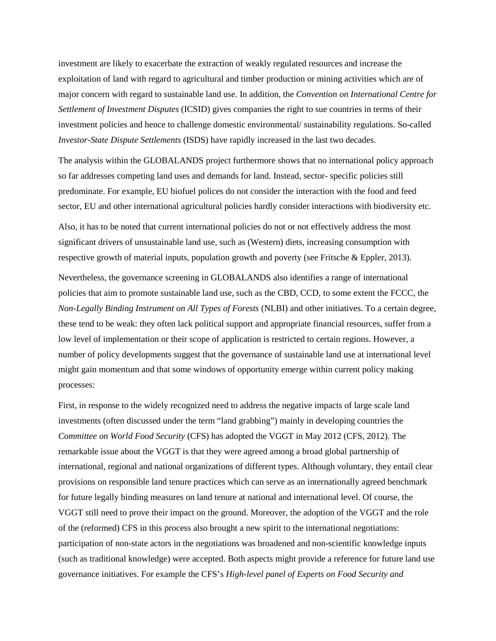investment are likely to exacerbate the extraction of weakly regulated resources and increase the exploitation of land with regard to agricultural and timber production or mining activities which are of major concern with regard to sustainable land use. In addition, the *Convention on International Centre for Settlement of Investment Disputes* (ICSID) gives companies the right to sue countries in terms of their investment policies and hence to challenge domestic environmental/ sustainability regulations. So-called *Investor-State Dispute Settlements* (ISDS) have rapidly increased in the last two decades.

The analysis within the GLOBALANDS project furthermore shows that no international policy approach so far addresses competing land uses and demands for land. Instead, sector- specific policies still predominate. For example, EU biofuel polices do not consider the interaction with the food and feed sector, EU and other international agricultural policies hardly consider interactions with biodiversity etc.

Also, it has to be noted that current international policies do not or not effectively address the most significant drivers of unsustainable land use, such as (Western) diets, increasing consumption with respective growth of material inputs, population growth and poverty (see Fritsche & Eppler, 2013).

Nevertheless, the governance screening in GLOBALANDS also identifies a range of international policies that aim to promote sustainable land use, such as the CBD, CCD, to some extent the FCCC, the *Non-Legally Binding Instrument on All Types of Forests* (NLBI) and other initiatives. To a certain degree, these tend to be weak: they often lack political support and appropriate financial resources, suffer from a low level of implementation or their scope of application is restricted to certain regions. However, a number of policy developments suggest that the governance of sustainable land use at international level might gain momentum and that some windows of opportunity emerge within current policy making processes:

First, in response to the widely recognized need to address the negative impacts of large scale land investments (often discussed under the term "land grabbing") mainly in developing countries the *Committee on World Food Security* (CFS) has adopted the VGGT in May 2012 (CFS, 2012). The remarkable issue about the VGGT is that they were agreed among a broad global partnership of international, regional and national organizations of different types. Although voluntary, they entail clear provisions on responsible land tenure practices which can serve as an internationally agreed benchmark for future legally binding measures on land tenure at national and international level. Of course, the VGGT still need to prove their impact on the ground. Moreover, the adoption of the VGGT and the role of the (reformed) CFS in this process also brought a new spirit to the international negotiations: participation of non-state actors in the negotiations was broadened and non-scientific knowledge inputs (such as traditional knowledge) were accepted. Both aspects might provide a reference for future land use governance initiatives. For example the CFS's *High-level panel of Experts on Food Security and*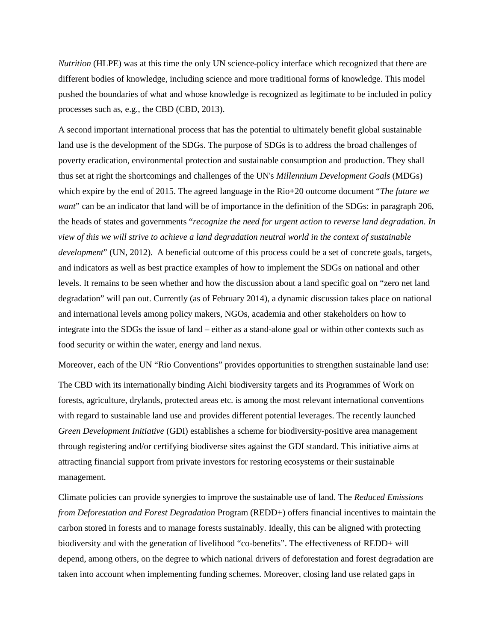*Nutrition* (HLPE) was at this time the only UN science-policy interface which recognized that there are different bodies of knowledge, including science and more traditional forms of knowledge. This model pushed the boundaries of what and whose knowledge is recognized as legitimate to be included in policy processes such as, e.g., the CBD (CBD, 2013).

A second important international process that has the potential to ultimately benefit global sustainable land use is the development of the SDGs. The purpose of SDGs is to address the broad challenges of poverty eradication, environmental protection and sustainable consumption and production. They shall thus set at right the shortcomings and challenges of the UN's *Millennium Development Goals* (MDGs) which expire by the end of 2015. The agreed language in the Rio+20 outcome document "*The future we want*" can be an indicator that land will be of importance in the definition of the SDGs: in paragraph 206, the heads of states and governments "*recognize the need for urgent action to reverse land degradation. In view of this we will strive to achieve a land degradation neutral world in the context of sustainable development*" (UN, 2012). A beneficial outcome of this process could be a set of concrete goals, targets, and indicators as well as best practice examples of how to implement the SDGs on national and other levels. It remains to be seen whether and how the discussion about a land specific goal on "zero net land degradation" will pan out. Currently (as of February 2014), a dynamic discussion takes place on national and international levels among policy makers, NGOs, academia and other stakeholders on how to integrate into the SDGs the issue of land – either as a stand-alone goal or within other contexts such as food security or within the water, energy and land nexus.

Moreover, each of the UN "Rio Conventions" provides opportunities to strengthen sustainable land use:

The CBD with its internationally binding Aichi biodiversity targets and its Programmes of Work on forests, agriculture, drylands, protected areas etc. is among the most relevant international conventions with regard to sustainable land use and provides different potential leverages. The recently launched *Green Development Initiative* (GDI) establishes a scheme for biodiversity-positive area management through registering and/or certifying biodiverse sites against the GDI standard. This initiative aims at attracting financial support from private investors for restoring ecosystems or their sustainable management.

Climate policies can provide synergies to improve the sustainable use of land. The *Reduced Emissions from Deforestation and Forest Degradation* Program (REDD+) offers financial incentives to maintain the carbon stored in forests and to manage forests sustainably. Ideally, this can be aligned with protecting biodiversity and with the generation of livelihood "co-benefits". The effectiveness of REDD+ will depend, among others, on the degree to which national drivers of deforestation and forest degradation are taken into account when implementing funding schemes. Moreover, closing land use related gaps in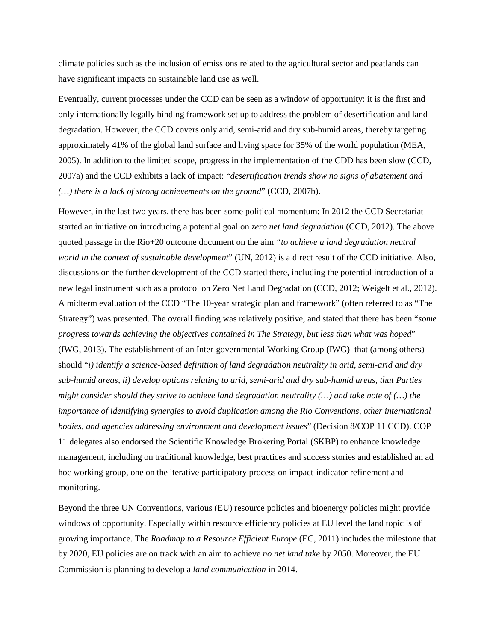climate policies such as the inclusion of emissions related to the agricultural sector and peatlands can have significant impacts on sustainable land use as well.

Eventually, current processes under the CCD can be seen as a window of opportunity: it is the first and only internationally legally binding framework set up to address the problem of desertification and land degradation. However, the CCD covers only arid, semi-arid and dry sub-humid areas, thereby targeting approximately 41% of the global land surface and living space for 35% of the world population (MEA, 2005). In addition to the limited scope, progress in the implementation of the CDD has been slow (CCD, 2007a) and the CCD exhibits a lack of impact: "*desertification trends show no signs of abatement and (…) there is a lack of strong achievements on the ground*" (CCD, 2007b).

However, in the last two years, there has been some political momentum: In 2012 the CCD Secretariat started an initiative on introducing a potential goal on *zero net land degradation* (CCD, 2012). The above quoted passage in the Rio+20 outcome document on the aim *"to achieve a land degradation neutral world in the context of sustainable development*" (UN, 2012) is a direct result of the CCD initiative. Also, discussions on the further development of the CCD started there, including the potential introduction of a new legal instrument such as a protocol on Zero Net Land Degradation (CCD, 2012; Weigelt et al., 2012). A midterm evaluation of the CCD "The 10-year strategic plan and framework" (often referred to as "The Strategy") was presented. The overall finding was relatively positive, and stated that there has been "*some progress towards achieving the objectives contained in The Strategy, but less than what was hoped*" (IWG, 2013). The establishment of an Inter-governmental Working Group (IWG) that (among others) should "*i) identify a science-based definition of land degradation neutrality in arid, semi-arid and dry sub-humid areas, ii) develop options relating to arid, semi-arid and dry sub-humid areas, that Parties might consider should they strive to achieve land degradation neutrality (…) and take note of (…) the importance of identifying synergies to avoid duplication among the Rio Conventions, other international bodies, and agencies addressing environment and development issues*" (Decision 8/COP 11 CCD). COP 11 delegates also endorsed the Scientific Knowledge Brokering Portal (SKBP) to enhance knowledge management, including on traditional knowledge, best practices and success stories and established an ad hoc working group, one on the iterative participatory process on impact-indicator refinement and monitoring.

Beyond the three UN Conventions, various (EU) resource policies and bioenergy policies might provide windows of opportunity. Especially within resource efficiency policies at EU level the land topic is of growing importance. The *Roadmap to a Resource Efficient Europe* (EC, 2011) includes the milestone that by 2020, EU policies are on track with an aim to achieve *no net land take* by 2050. Moreover, the EU Commission is planning to develop a *land communication* in 2014.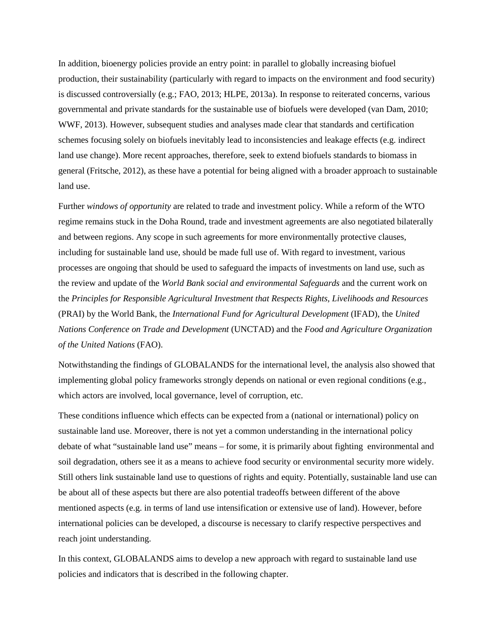In addition, bioenergy policies provide an entry point: in parallel to globally increasing biofuel production, their sustainability (particularly with regard to impacts on the environment and food security) is discussed controversially (e.g.; FAO, 2013; HLPE, 2013a). In response to reiterated concerns, various governmental and private standards for the sustainable use of biofuels were developed (van Dam, 2010; WWF, 2013). However, subsequent studies and analyses made clear that standards and certification schemes focusing solely on biofuels inevitably lead to inconsistencies and leakage effects (e.g. indirect land use change). More recent approaches, therefore, seek to extend biofuels standards to biomass in general (Fritsche, 2012), as these have a potential for being aligned with a broader approach to sustainable land use.

Further *windows of opportunity* are related to trade and investment policy. While a reform of the WTO regime remains stuck in the Doha Round, trade and investment agreements are also negotiated bilaterally and between regions. Any scope in such agreements for more environmentally protective clauses, including for sustainable land use, should be made full use of. With regard to investment, various processes are ongoing that should be used to safeguard the impacts of investments on land use, such as the review and update of the *World Bank social and environmental Safeguards* and the current work on the *Principles for Responsible Agricultural Investment that Respects Rights, Livelihoods and Resources* (PRAI) by the World Bank, the *International Fund for Agricultural Development* (IFAD), the *United Nations Conference on Trade and Development* (UNCTAD) and the *Food and Agriculture Organization of the United Nations* (FAO).

Notwithstanding the findings of GLOBALANDS for the international level, the analysis also showed that implementing global policy frameworks strongly depends on national or even regional conditions (e.g., which actors are involved, local governance, level of corruption, etc.

These conditions influence which effects can be expected from a (national or international) policy on sustainable land use. Moreover, there is not yet a common understanding in the international policy debate of what "sustainable land use" means – for some, it is primarily about fighting environmental and soil degradation, others see it as a means to achieve food security or environmental security more widely. Still others link sustainable land use to questions of rights and equity. Potentially, sustainable land use can be about all of these aspects but there are also potential tradeoffs between different of the above mentioned aspects (e.g. in terms of land use intensification or extensive use of land). However, before international policies can be developed, a discourse is necessary to clarify respective perspectives and reach joint understanding.

In this context, GLOBALANDS aims to develop a new approach with regard to sustainable land use policies and indicators that is described in the following chapter.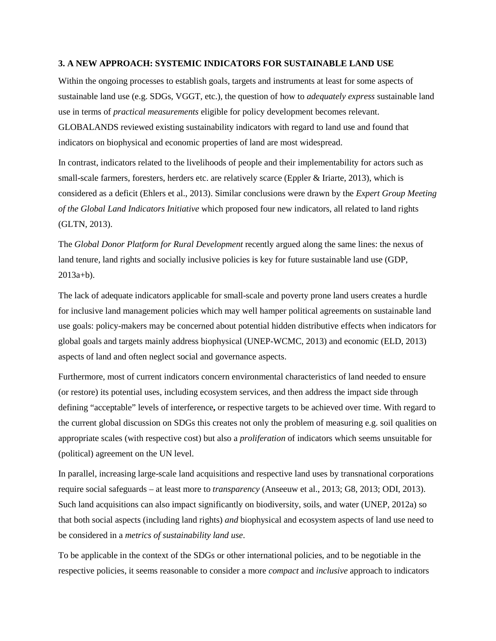#### **3. A NEW APPROACH: SYSTEMIC INDICATORS FOR SUSTAINABLE LAND USE**

Within the ongoing processes to establish goals, targets and instruments at least for some aspects of sustainable land use (e.g. SDGs, VGGT, etc.), the question of how to *adequately express* sustainable land use in terms of *practical measurements* eligible for policy development becomes relevant. GLOBALANDS reviewed existing sustainability indicators with regard to land use and found that indicators on biophysical and economic properties of land are most widespread.

In contrast, indicators related to the livelihoods of people and their implementability for actors such as small-scale farmers, foresters, herders etc. are relatively scarce (Eppler & Iriarte, 2013), which is considered as a deficit (Ehlers et al., 2013). Similar conclusions were drawn by the *Expert Group Meeting of the Global Land Indicators Initiative* which proposed four new indicators, all related to land rights (GLTN, 2013).

The *Global Donor Platform for Rural Development* recently argued along the same lines: the nexus of land tenure, land rights and socially inclusive policies is key for future sustainable land use (GDP,  $2013a+b$ ).

The lack of adequate indicators applicable for small-scale and poverty prone land users creates a hurdle for inclusive land management policies which may well hamper political agreements on sustainable land use goals: policy-makers may be concerned about potential hidden distributive effects when indicators for global goals and targets mainly address biophysical (UNEP-WCMC, 2013) and economic (ELD, 2013) aspects of land and often neglect social and governance aspects.

Furthermore, most of current indicators concern environmental characteristics of land needed to ensure (or restore) its potential uses, including ecosystem services, and then address the impact side through defining "acceptable" levels of interference**,** or respective targets to be achieved over time. With regard to the current global discussion on SDGs this creates not only the problem of measuring e.g. soil qualities on appropriate scales (with respective cost) but also a *proliferation* of indicators which seems unsuitable for (political) agreement on the UN level.

In parallel, increasing large-scale land acquisitions and respective land uses by transnational corporations require social safeguards – at least more to *transparency* (Anseeuw et al., 2013; G8, 2013; ODI, 2013). Such land acquisitions can also impact significantly on biodiversity, soils, and water (UNEP, 2012a) so that both social aspects (including land rights) *and* biophysical and ecosystem aspects of land use need to be considered in a *metrics of sustainability land use*.

To be applicable in the context of the SDGs or other international policies, and to be negotiable in the respective policies, it seems reasonable to consider a more *compact* and *inclusive* approach to indicators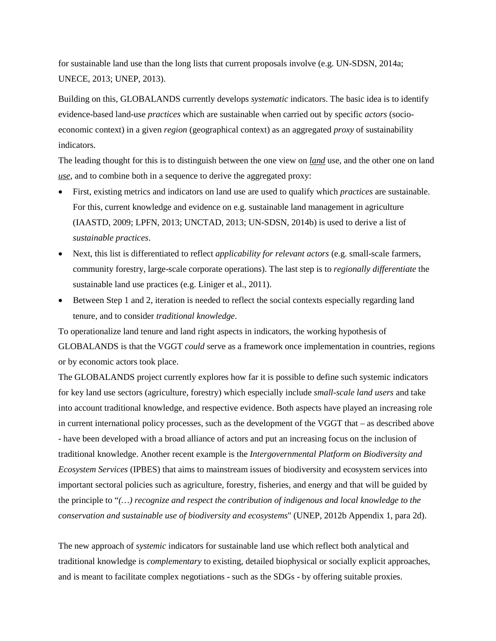for sustainable land use than the long lists that current proposals involve (e.g. UN-SDSN, 2014a; UNECE, 2013; UNEP, 2013).

Building on this, GLOBALANDS currently develops *systematic* indicators. The basic idea is to identify evidence-based land-use *practices* which are sustainable when carried out by specific *actors* (socioeconomic context) in a given *region* (geographical context) as an aggregated *proxy* of sustainability indicators.

The leading thought for this is to distinguish between the one view on *land* use, and the other one on land *use*, and to combine both in a sequence to derive the aggregated proxy:

- First, existing metrics and indicators on land use are used to qualify which *practices* are sustainable. For this, current knowledge and evidence on e.g. sustainable land management in agriculture (IAASTD, 2009; LPFN, 2013; UNCTAD, 2013; UN-SDSN, 2014b) is used to derive a list of *sustainable practices*.
- Next, this list is differentiated to reflect *applicability for relevant actors* (e.g. small-scale farmers, community forestry, large-scale corporate operations). The last step is to *regionally differentiate* the sustainable land use practices (e.g. Liniger et al., 2011).
- Between Step 1 and 2, iteration is needed to reflect the social contexts especially regarding land tenure, and to consider *traditional knowledge*.

To operationalize land tenure and land right aspects in indicators, the working hypothesis of GLOBALANDS is that the VGGT *could* serve as a framework once implementation in countries, regions or by economic actors took place.

The GLOBALANDS project currently explores how far it is possible to define such systemic indicators for key land use sectors (agriculture, forestry) which especially include *small-scale land users* and take into account traditional knowledge, and respective evidence. Both aspects have played an increasing role in current international policy processes, such as the development of the VGGT that – as described above - have been developed with a broad alliance of actors and put an increasing focus on the inclusion of traditional knowledge. Another recent example is the *[Intergovernmental Platform on Biodiversity and](http://www.ipbes.net/)  [Ecosystem Services](http://www.ipbes.net/)* (IPBES) that aims to mainstream issues of biodiversity and ecosystem services into important sectoral policies such as agriculture, forestry, fisheries, and energy and that will be guided by the principle to "*(…) recognize and respect the contribution of indigenous and local knowledge to the conservation and sustainable use of biodiversity and ecosystems*" (UNEP, 2012b Appendix 1, para 2d).

The new approach of *systemic* indicators for sustainable land use which reflect both analytical and traditional knowledge is *complementary* to existing, detailed biophysical or socially explicit approaches, and is meant to facilitate complex negotiations - such as the SDGs - by offering suitable proxies.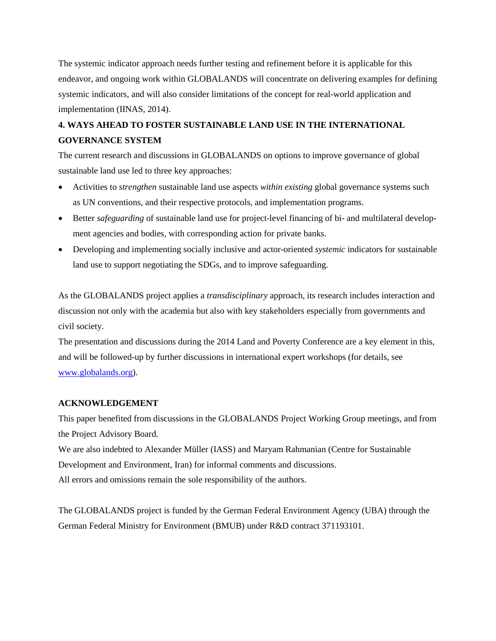The systemic indicator approach needs further testing and refinement before it is applicable for this endeavor, and ongoing work within GLOBALANDS will concentrate on delivering examples for defining systemic indicators, and will also consider limitations of the concept for real-world application and implementation (IINAS, 2014).

# **4. WAYS AHEAD TO FOSTER SUSTAINABLE LAND USE IN THE INTERNATIONAL GOVERNANCE SYSTEM**

The current research and discussions in GLOBALANDS on options to improve governance of global sustainable land use led to three key approaches:

- Activities to *strengthen* sustainable land use aspects *within existing* global governance systems such as UN conventions, and their respective protocols, and implementation programs.
- Better *safeguarding* of sustainable land use for project-level financing of bi- and multilateral development agencies and bodies, with corresponding action for private banks.
- Developing and implementing socially inclusive and actor-oriented *systemic* indicators for sustainable land use to support negotiating the SDGs, and to improve safeguarding.

As the GLOBALANDS project applies a *transdisciplinary* approach, its research includes interaction and discussion not only with the academia but also with key stakeholders especially from governments and civil society.

The presentation and discussions during the 2014 Land and Poverty Conference are a key element in this, and will be followed-up by further discussions in international expert workshops (for details, see [www.globalands.org\)](http://www.globalands.org/).

### **ACKNOWLEDGEMENT**

This paper benefited from discussions in the GLOBALANDS Project Working Group meetings, and from the Project Advisory Board.

We are also indebted to Alexander Müller (IASS) and Maryam Rahmanian (Centre for Sustainable Development and Environment, Iran) for informal comments and discussions.

All errors and omissions remain the sole responsibility of the authors.

The GLOBALANDS project is funded by the German Federal Environment Agency (UBA) through the German Federal Ministry for Environment (BMUB) under R&D contract 371193101.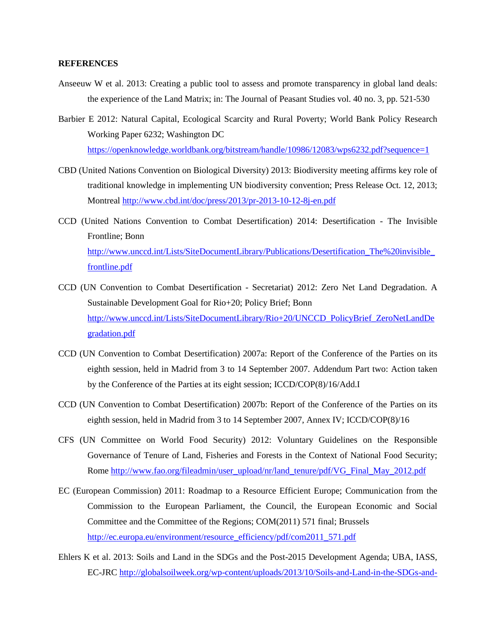#### **REFERENCES**

- Anseeuw W et al. 2013: Creating a public tool to assess and promote transparency in global land deals: the experience of the Land Matrix; in: The Journal of Peasant Studies vol. 40 no. 3, pp. 521-530
- Barbier E 2012: Natural Capital, Ecological Scarcity and Rural Poverty; World Bank Policy Research Working Paper 6232; Washington DC

<https://openknowledge.worldbank.org/bitstream/handle/10986/12083/wps6232.pdf?sequence=1>

- CBD (United Nations Convention on Biological Diversity) 2013: Biodiversity meeting affirms key role of traditional knowledge in implementing UN biodiversity convention; Press Release Oct. 12, 2013; Montreal <http://www.cbd.int/doc/press/2013/pr-2013-10-12-8j-en.pdf>
- CCD (United Nations Convention to Combat Desertification) 2014: Desertification The Invisible Frontline; Bonn [http://www.unccd.int/Lists/SiteDocumentLibrary/Publications/Desertification\\_The%20invisible\\_](http://www.unccd.int/Lists/SiteDocumentLibrary/Publications/Desertification_The%20invisible_frontline.pdf) [frontline.pdf](http://www.unccd.int/Lists/SiteDocumentLibrary/Publications/Desertification_The%20invisible_frontline.pdf)
- CCD (UN Convention to Combat Desertification Secretariat) 2012: Zero Net Land Degradation. A Sustainable Development Goal for Rio+20; Policy Brief; Bonn [http://www.unccd.int/Lists/SiteDocumentLibrary/Rio+20/UNCCD\\_PolicyBrief\\_ZeroNetLandDe](http://www.unccd.int/Lists/SiteDocumentLibrary/Rio+20/UNCCD_PolicyBrief_ZeroNetLandDegradation.pdf) [gradation.pdf](http://www.unccd.int/Lists/SiteDocumentLibrary/Rio+20/UNCCD_PolicyBrief_ZeroNetLandDegradation.pdf)
- CCD (UN Convention to Combat Desertification) 2007a: Report of the Conference of the Parties on its eighth session, held in Madrid from 3 to 14 September 2007. Addendum Part two: Action taken by the Conference of the Parties at its eight session; ICCD/COP(8)/16/Add.I
- CCD (UN Convention to Combat Desertification) 2007b: Report of the Conference of the Parties on its eighth session, held in Madrid from 3 to 14 September 2007, Annex IV; ICCD/COP(8)/16
- CFS (UN Committee on World Food Security) 2012: Voluntary Guidelines on the Responsible Governance of Tenure of Land, Fisheries and Forests in the Context of National Food Security; Rome [http://www.fao.org/fileadmin/user\\_upload/nr/land\\_tenure/pdf/VG\\_Final\\_May\\_2012.pdf](http://www.fao.org/fileadmin/user_upload/nr/land_tenure/pdf/VG_Final_May_2012.pdf)
- EC (European Commission) 2011: Roadmap to a Resource Efficient Europe; Communication from the Commission to the European Parliament, the Council, the European Economic and Social Committee and the Committee of the Regions; COM(2011) 571 final; Brussels [http://ec.europa.eu/environment/resource\\_efficiency/pdf/com2011\\_571.pdf](http://ec.europa.eu/environment/resource_efficiency/pdf/com2011_571.pdf)
- Ehlers K et al. 2013: Soils and Land in the SDGs and the Post-2015 Development Agenda; UBA, IASS, EC-JRC [http://globalsoilweek.org/wp-content/uploads/2013/10/Soils-and-Land-in-the-SDGs-and-](http://globalsoilweek.org/wp-content/uploads/2013/10/Soils-and-Land-in-the-SDGs-and-the-Post-2015-Development-Agenda-A-proposal-for-a-Land-Degradation-Neutral-World-goal-and-targets.pdf)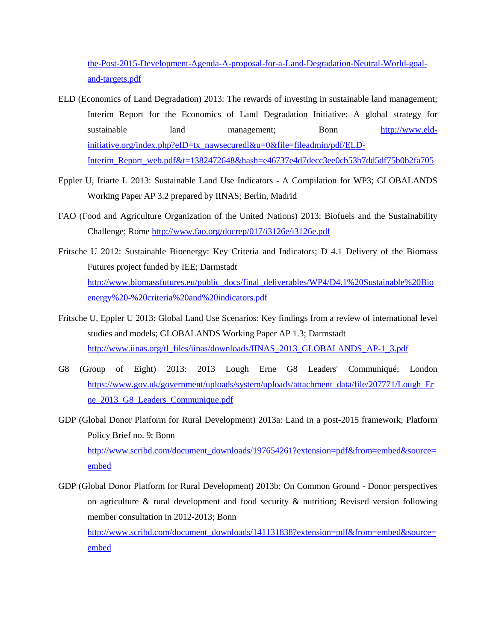[the-Post-2015-Development-Agenda-A-proposal-for-a-Land-Degradation-Neutral-World-goal](http://globalsoilweek.org/wp-content/uploads/2013/10/Soils-and-Land-in-the-SDGs-and-the-Post-2015-Development-Agenda-A-proposal-for-a-Land-Degradation-Neutral-World-goal-and-targets.pdf)[and-targets.pdf](http://globalsoilweek.org/wp-content/uploads/2013/10/Soils-and-Land-in-the-SDGs-and-the-Post-2015-Development-Agenda-A-proposal-for-a-Land-Degradation-Neutral-World-goal-and-targets.pdf)

- ELD (Economics of Land Degradation) 2013: The rewards of investing in sustainable land management; Interim Report for the Economics of Land Degradation Initiative: A global strategy for sustainable land management; Bonn [http://www.eld](http://www.eld-initiative.org/index.php?eID=tx_nawsecuredl&u=0&file=fileadmin/pdf/ELD-Interim_Report_web.pdf&t=1382472648&hash=e46737e4d7decc3ee0cb53b7dd5df75b0b2fa705)[initiative.org/index.php?eID=tx\\_nawsecuredl&u=0&file=fileadmin/pdf/ELD-](http://www.eld-initiative.org/index.php?eID=tx_nawsecuredl&u=0&file=fileadmin/pdf/ELD-Interim_Report_web.pdf&t=1382472648&hash=e46737e4d7decc3ee0cb53b7dd5df75b0b2fa705)[Interim\\_Report\\_web.pdf&t=1382472648&hash=e46737e4d7decc3ee0cb53b7dd5df75b0b2fa705](http://www.eld-initiative.org/index.php?eID=tx_nawsecuredl&u=0&file=fileadmin/pdf/ELD-Interim_Report_web.pdf&t=1382472648&hash=e46737e4d7decc3ee0cb53b7dd5df75b0b2fa705)
- Eppler U, Iriarte L 2013: Sustainable Land Use Indicators A Compilation for WP3; GLOBALANDS Working Paper AP 3.2 prepared by IINAS; Berlin, Madrid
- FAO (Food and Agriculture Organization of the United Nations) 2013: Biofuels and the Sustainability Challenge; Rome<http://www.fao.org/docrep/017/i3126e/i3126e.pdf>
- Fritsche U 2012: Sustainable Bioenergy: Key Criteria and Indicators; D 4.1 Delivery of the Biomass Futures project funded by IEE; Darmstadt [http://www.biomassfutures.eu/public\\_docs/final\\_deliverables/WP4/D4.1%20Sustainable%20Bio](http://www.biomassfutures.eu/public_docs/final_deliverables/WP4/D4.1%20Sustainable%20Bioenergy%20-%20criteria%20and%20indicators.pdf) [energy%20-%20criteria%20and%20indicators.pdf](http://www.biomassfutures.eu/public_docs/final_deliverables/WP4/D4.1%20Sustainable%20Bioenergy%20-%20criteria%20and%20indicators.pdf)
- Fritsche U, Eppler U 2013: Global Land Use Scenarios: Key findings from a review of international level studies and models; GLOBALANDS Working Paper AP 1.3; Darmstadt [http://www.iinas.org/tl\\_files/iinas/downloads/IINAS\\_2013\\_GLOBALANDS\\_AP-1\\_3.pdf](http://www.iinas.org/tl_files/iinas/downloads/IINAS_2013_GLOBALANDS_AP-1_3.pdf)
- G8 (Group of Eight) 2013: 2013 Lough Erne G8 Leaders' Communiqué; London [https://www.gov.uk/government/uploads/system/uploads/attachment\\_data/file/207771/Lough\\_Er](https://www.gov.uk/government/uploads/system/uploads/attachment_data/file/207771/Lough_Erne_2013_G8_Leaders_Communique.pdf) [ne\\_2013\\_G8\\_Leaders\\_Communique.pdf](https://www.gov.uk/government/uploads/system/uploads/attachment_data/file/207771/Lough_Erne_2013_G8_Leaders_Communique.pdf)
- GDP (Global Donor Platform for Rural Development) 2013a: Land in a post-2015 framework; Platform Policy Brief no. 9; Bonn [http://www.scribd.com/document\\_downloads/197654261?extension=pdf&from=embed&source=](http://www.scribd.com/document_downloads/197654261?extension=pdf&from=embed&source=embed) [embed](http://www.scribd.com/document_downloads/197654261?extension=pdf&from=embed&source=embed)
- GDP (Global Donor Platform for Rural Development) 2013b: On Common Ground Donor perspectives on agriculture  $\&$  rural development and food security  $\&$  nutrition; Revised version following member consultation in 2012-2013; Bonn [http://www.scribd.com/document\\_downloads/141131838?extension=pdf&from=embed&source=](http://www.scribd.com/document_downloads/141131838?extension=pdf&from=embed&source=embed)

[embed](http://www.scribd.com/document_downloads/141131838?extension=pdf&from=embed&source=embed)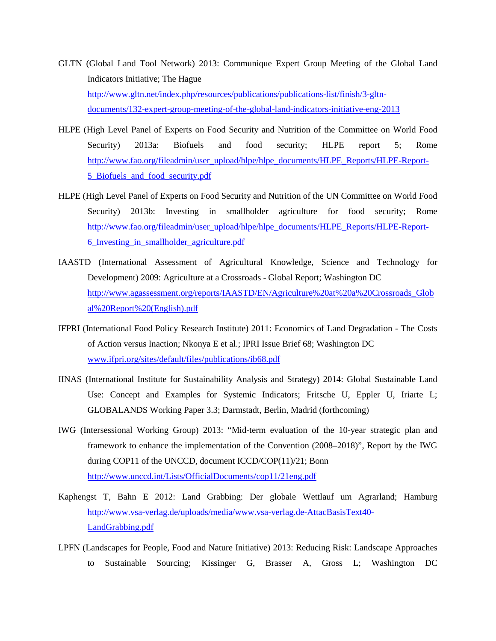- GLTN (Global Land Tool Network) 2013: Communique Expert Group Meeting of the Global Land Indicators Initiative; The Hague [http://www.gltn.net/index.php/resources/publications/publications-list/finish/3-gltn](http://www.gltn.net/index.php/resources/publications/publications-list/finish/3-gltn-documents/132-expert-group-meeting-of-the-global-land-indicators-initiative-eng-2013)[documents/132-expert-group-meeting-of-the-global-land-indicators-initiative-eng-2013](http://www.gltn.net/index.php/resources/publications/publications-list/finish/3-gltn-documents/132-expert-group-meeting-of-the-global-land-indicators-initiative-eng-2013)
- HLPE (High Level Panel of Experts on Food Security and Nutrition of the Committee on World Food Security) 2013a: Biofuels and food security; HLPE report 5; Rome [http://www.fao.org/fileadmin/user\\_upload/hlpe/hlpe\\_documents/HLPE\\_Reports/HLPE-Report-](http://www.fao.org/fileadmin/user_upload/hlpe/hlpe_documents/HLPE_Reports/HLPE-Report-5_Biofuels_and_food_security.pdf)[5\\_Biofuels\\_and\\_food\\_security.pdf](http://www.fao.org/fileadmin/user_upload/hlpe/hlpe_documents/HLPE_Reports/HLPE-Report-5_Biofuels_and_food_security.pdf)
- HLPE (High Level Panel of Experts on Food Security and Nutrition of the UN Committee on World Food Security) 2013b: Investing in smallholder agriculture for food security; Rome [http://www.fao.org/fileadmin/user\\_upload/hlpe/hlpe\\_documents/HLPE\\_Reports/HLPE-Report-](http://www.fao.org/fileadmin/user_upload/hlpe/hlpe_documents/HLPE_Reports/HLPE-Report-6_Investing_in_smallholder_agriculture.pdf)[6\\_Investing\\_in\\_smallholder\\_agriculture.pdf](http://www.fao.org/fileadmin/user_upload/hlpe/hlpe_documents/HLPE_Reports/HLPE-Report-6_Investing_in_smallholder_agriculture.pdf)
- IAASTD (International Assessment of Agricultural Knowledge, Science and Technology for Development) 2009: Agriculture at a Crossroads - Global Report; Washington DC [http://www.agassessment.org/reports/IAASTD/EN/Agriculture%20at%20a%20Crossroads\\_Glob](http://www.agassessment.org/reports/IAASTD/EN/Agriculture%20at%20a%20Crossroads_Global%20Report%20(English).pdf) [al%20Report%20\(English\).pdf](http://www.agassessment.org/reports/IAASTD/EN/Agriculture%20at%20a%20Crossroads_Global%20Report%20(English).pdf)
- IFPRI (International Food Policy Research Institute) 2011: Economics of Land Degradation The Costs of Action versus Inaction; Nkonya E et al.; IPRI Issue Brief 68; Washington DC [www.ifpri.org/sites/default/files/publications/ib68.pdf](http://www.ifpri.org/sites/default/files/publications/ib68.pdf)
- IINAS (International Institute for Sustainability Analysis and Strategy) 2014: Global Sustainable Land Use: Concept and Examples for Systemic Indicators; Fritsche U, Eppler U, Iriarte L; GLOBALANDS Working Paper 3.3; Darmstadt, Berlin, Madrid (forthcoming)
- IWG (Intersessional Working Group) 2013: "Mid-term evaluation of the 10-year strategic plan and framework to enhance the implementation of the Convention (2008–2018)", Report by the IWG during COP11 of the UNCCD, document ICCD/COP(11)/21; Bonn <http://www.unccd.int/Lists/OfficialDocuments/cop11/21eng.pdf>
- Kaphengst T, Bahn E 2012: Land Grabbing: Der globale Wettlauf um Agrarland; Hamburg [http://www.vsa-verlag.de/uploads/media/www.vsa-verlag.de-AttacBasisText40-](http://www.vsa-verlag.de/uploads/media/www.vsa-verlag.de-AttacBasisText40-LandGrabbing.pdf) [LandGrabbing.pdf](http://www.vsa-verlag.de/uploads/media/www.vsa-verlag.de-AttacBasisText40-LandGrabbing.pdf)
- LPFN (Landscapes for People, Food and Nature Initiative) 2013: Reducing Risk: Landscape Approaches to Sustainable Sourcing; Kissinger G, Brasser A, Gross L; Washington DC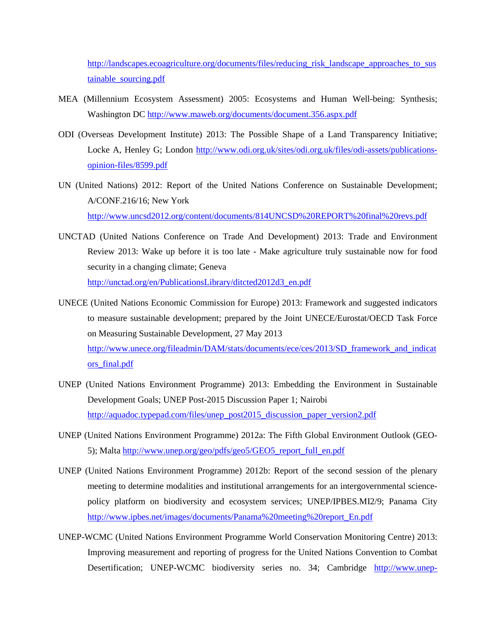[http://landscapes.ecoagriculture.org/documents/files/reducing\\_risk\\_landscape\\_approaches\\_to\\_sus](http://landscapes.ecoagriculture.org/documents/files/reducing_risk_landscape_approaches_to_sustainable_sourcing.pdf) [tainable\\_sourcing.pdf](http://landscapes.ecoagriculture.org/documents/files/reducing_risk_landscape_approaches_to_sustainable_sourcing.pdf)

- MEA (Millennium Ecosystem Assessment) 2005: Ecosystems and Human Well-being: Synthesis; Washington DC<http://www.maweb.org/documents/document.356.aspx.pdf>
- ODI (Overseas Development Institute) 2013: The Possible Shape of a Land Transparency Initiative; Locke A, Henley G; London [http://www.odi.org.uk/sites/odi.org.uk/files/odi-assets/publications](http://www.odi.org.uk/sites/odi.org.uk/files/odi-assets/publications-opinion-files/8599.pdf)[opinion-files/8599.pdf](http://www.odi.org.uk/sites/odi.org.uk/files/odi-assets/publications-opinion-files/8599.pdf)
- UN (United Nations) 2012: Report of the United Nations Conference on Sustainable Development; A/CONF.216/16; New York <http://www.uncsd2012.org/content/documents/814UNCSD%20REPORT%20final%20revs.pdf>
- UNCTAD (United Nations Conference on Trade And Development) 2013: Trade and Environment Review 2013: Wake up before it is too late - Make agriculture truly sustainable now for food security in a changing climate; Geneva [http://unctad.org/en/PublicationsLibrary/ditcted2012d3\\_en.pdf](http://unctad.org/en/PublicationsLibrary/ditcted2012d3_en.pdf)
- UNECE (United Nations Economic Commission for Europe) 2013: Framework and suggested indicators to measure sustainable development; prepared by the Joint UNECE/Eurostat/OECD Task Force on Measuring Sustainable Development, 27 May 2013 [http://www.unece.org/fileadmin/DAM/stats/documents/ece/ces/2013/SD\\_framework\\_and\\_indicat](http://www.unece.org/fileadmin/DAM/stats/documents/ece/ces/2013/SD_framework_and_indicators_final.pdf) [ors\\_final.pdf](http://www.unece.org/fileadmin/DAM/stats/documents/ece/ces/2013/SD_framework_and_indicators_final.pdf)
- UNEP (United Nations Environment Programme) 2013: Embedding the Environment in Sustainable Development Goals; UNEP Post-2015 Discussion Paper 1; Nairobi [http://aquadoc.typepad.com/files/unep\\_post2015\\_discussion\\_paper\\_version2.pdf](http://aquadoc.typepad.com/files/unep_post2015_discussion_paper_version2.pdf)
- UNEP (United Nations Environment Programme) 2012a: The Fifth Global Environment Outlook (GEO5); Malta [http://www.unep.org/geo/pdfs/geo5/GEO5\\_report\\_full\\_en.pdf](http://www.unep.org/geo/pdfs/geo5/GEO5_report_full_en.pdf)
- UNEP (United Nations Environment Programme) 2012b: Report of the second session of the plenary meeting to determine modalities and institutional arrangements for an intergovernmental sciencepolicy platform on biodiversity and ecosystem services; UNEP/IPBES.MI2/9; Panama City [http://www.ipbes.net/images/documents/Panama%20meeting%20report\\_En.pdf](http://www.ipbes.net/images/documents/Panama%20meeting%20report_En.pdf)
- UNEP-WCMC (United Nations Environment Programme World Conservation Monitoring Centre) 2013: Improving measurement and reporting of progress for the United Nations Convention to Combat Desertification; UNEP-WCMC biodiversity series no. 34; Cambridge [http://www.unep-](http://www.unep-wcmc.org/medialibrary/2013/06/05/99d83cf3/UNEP-WCMC%20Biodiversity%20Series%20no%20%2034-Final-Web-LR.pdf)